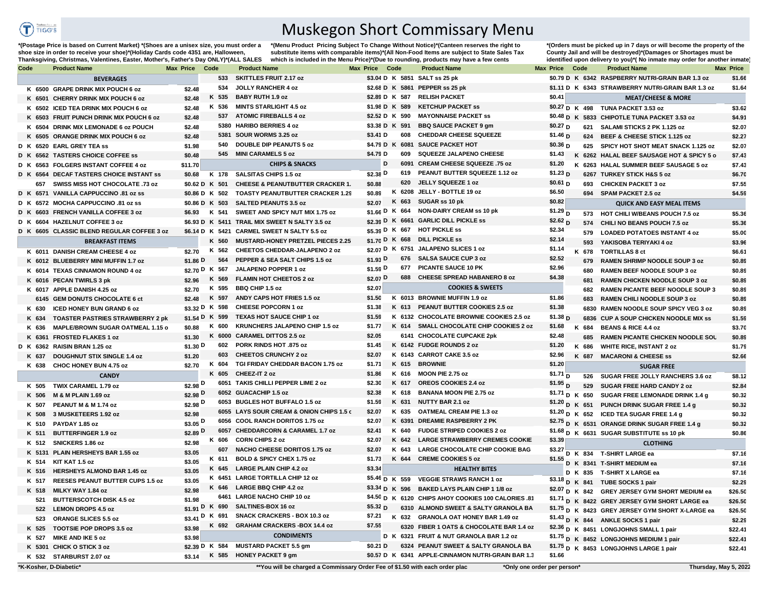

## Muskegon Short Commissary Menu

**\*(Postage Price is based on Current Market) \*(Shoes are a unisex size, you must order a shoe size in order to receive your shoe)\*(Holiday Cards code 4351 are, Halloween, Thanksgiving, Christmas, Valentines, Easter, Mother's, Father's Day ONLY)\*(ALL SALES** 

**\*(Menu Product Pricing Subject To Change Without Notice)\*(Canteen reserves the right to substitute items with comparable items)\*(All Non-Food Items are subject to State Sales Tax which is included in the Menu Price)\*(Due to rounding, products may have a few cents** 

**\*(Orders must be picked up in 7 days or will become the property of the County Jail and will be destroyed)\*(Damages or Shortages must be**  identified upon delivery to you)\*(No inmate may order for another inmate)

| Code     | <b>Product Name</b>                        | <b>Max Price</b>     | Code            | <b>Product Name</b>                                                         | Max Price Code  |        | <b>Product Name</b>                                 | <b>Max Price</b>              | Code            | <b>Product Name</b>                               | <b>Max Price</b>      |
|----------|--------------------------------------------|----------------------|-----------------|-----------------------------------------------------------------------------|-----------------|--------|-----------------------------------------------------|-------------------------------|-----------------|---------------------------------------------------|-----------------------|
|          | <b>BEVERAGES</b>                           |                      | 533             | <b>SKITTLES FRUIT 2.17 oz</b>                                               |                 |        | \$3.04 D K 5851 SALT ss 25 pk                       |                               |                 | \$0.79 D K 6342 RASPBERRY NUTRI-GRAIN BAR 1.3 oz  | \$1.66                |
|          | K 6500 GRAPE DRINK MIX POUCH 6 oz          | \$2.48               | 534             | <b>JOLLY RANCHER 4 oz</b>                                                   |                 |        | \$2.68 D K 5861 PEPPER ss 25 pk                     |                               |                 | \$1.11 D K 6343 STRAWBERRY NUTRI-GRAIN BAR 1.3 oz | \$1.64                |
|          | K 6501 CHERRY DRINK MIX POUCH 6 oz         | \$2.48               | K 535           | <b>BABY RUTH 1.9 oz</b>                                                     | \$2.89 D K 587  |        | <b>RELISH PACKET</b>                                | \$0.41                        |                 | <b>MEAT/CHEESE &amp; MORE</b>                     |                       |
|          | K 6502 ICED TEA DRINK MIX POUCH 6 oz       | \$2.48               | K 536           | <b>MINTS STARLIGHT 4.5 oz</b>                                               | \$1.98 D K 589  |        | <b>KETCHUP PACKET SS</b>                            |                               | $$0.27$ D K 498 | TUNA PACKET 3.53 oz                               | \$3.62                |
|          | K 6503 FRUIT PUNCH DRINK MIX POUCH 6 oz    | \$2.48               | 537             | <b>ATOMIC FIREBALLS 4 oz</b>                                                | \$2.52 D K 590  |        | <b>MAYONNAISE PACKET SS</b>                         |                               |                 | \$0.48 D K 5833 CHIPOTLE TUNA PACKET 3.53 oz      | \$4.91                |
|          | K 6504 DRINK MIX LEMONADE 6 oz POUCH       | \$2.48               |                 | 5380 HARIBO BERRIES 4 oz                                                    | \$3.38 D K 591  |        | <b>BBQ SAUCE PACKET 9 gm</b>                        | \$0.27 <sub>D</sub>           | 621             | SALAMI STICKS 2 PK 1.125 oz                       | \$2.07                |
|          | K 6505 ORANGE DRINK MIX POUCH 6 oz         | \$2.48               | 5381            | SOUR WORMS 3.25 oz                                                          | \$3.41 D        | 608    | <b>CHEDDAR CHEESE SQUEEZE</b>                       | \$1.46 <sub>D</sub>           | 624             | BEEF & CHEESE STICK 1.125 oz                      | \$2.27                |
|          | D K 6520 EARL GREY TEA ss                  | \$1.98               | 540             | <b>DOUBLE DIP PEANUTS 5 oz</b>                                              | \$4.79 D K 6081 |        | <b>SAUCE PACKET HOT</b>                             | \$0.36 <sub>D</sub>           | 625             | SPICY HOT SHOT MEAT SNACK 1.125 oz                | \$2.07                |
|          | D K 6562 TASTERS CHOICE COFFEE SS          | \$0.48               | 545             | <b>MINI CARAMELS 5 oz</b>                                                   | \$4.79 D        | 609    | SQUEEZE JALAPENO CHEESE                             | \$1.43                        |                 | K 6262 HALAL BEEF SAUSAGE HOT & SPICY 5 o         | \$7.43                |
|          | D K 6563 FOLGERS INSTANT COFFEE 4 oz       | \$11.70              |                 | <b>CHIPS &amp; SNACKS</b>                                                   | D               | 6091   | CREAM CHEESE SQUEEZE .75 oz                         | \$1.20                        |                 | K 6263 HALAL SUMMER BEEF SAUSAGE 5 oz             | \$7.43                |
|          | D K 6564 DECAF TASTERS CHOICE INSTANT SS   | \$0.68               | K 178           | <b>SALSITAS CHIPS 1.5 oz</b>                                                | \$2.38 D        | 619    | PEANUT BUTTER SQUEEZE 1.12 oz                       | \$1.23 <sub>D</sub>           |                 | 6267 TURKEY STICK H&S 5 oz                        | \$6.70                |
| 657      | SWISS MISS HOT CHOCOLATE .73 oz            |                      | \$0.62 D K 501  | <b>CHEESE &amp; PEANUTBUTTER CRACKER 1.</b>                                 | \$0.88          | 620    | JELLY SQUEEZE 1 oz                                  | \$0.61 <sub>D</sub>           | 693             | <b>CHICKEN PACKET 3 oz</b>                        | \$7.55                |
|          | D K 6571 VANILLA CAPPUCCINO .81 oz ss      |                      | \$0.86 D K 502  | <b>TOASTY PEANUTBUTTER CRACKER 1.29</b>                                     | \$0.89          |        | K 6208 JELLY - BOTTLE 19 oz                         | \$6.50                        |                 | 694 SPAM PACKET 2.5 oz                            | \$4.59                |
|          | D K 6572 MOCHA CAPPUCCINO .81 oz ss        |                      | \$0.86 D K 503  | <b>SALTED PEANUTS 3.5 oz</b>                                                | \$2.07          | K 663  | SUGAR ss 10 pk                                      | \$0.82                        |                 | <b>QUICK AND EASY MEAL ITEMS</b>                  |                       |
| D K 6603 | <b>FRENCH VANILLA COFFEE 3 oz</b>          | \$6.93               | K 541           | SWEET AND SPICY NUT MIX 1.75 oz                                             | \$1.66 D K 664  |        | <b>NON-DAIRY CREAM ss 10 pk</b>                     | $$1.29$ <sub>D</sub>          | 573             | HOT CHILI W/BEANS POUCH 7.5 oz                    | \$5.36                |
|          | D K 6604 HAZELNUT COFFEE 3 oz              |                      |                 | \$6.93 D K 5411 TRAIL MIX SWEET N SALTY 3.5 oz                              |                 |        | \$2.39 D K 6661 GARLIC DILL PICKLE ss               | \$2.62 <sub>D</sub>           | 574             | CHILI NO BEANS POUCH 7.5 oz                       | \$5.36                |
|          | D K 6605 CLASSIC BLEND REGULAR COFFEE 3 oz |                      | \$6.14 D K 5421 | <b>CARMEL SWEET N SALTY 5.5 oz</b>                                          | \$5.39 D K 667  |        | <b>HOT PICKLE ss</b>                                | \$2.34                        | 579             | <b>LOADED POTATOES INSTANT 4 oz</b>               | \$5.00                |
|          | <b>BREAKFAST ITEMS</b>                     |                      | K 560           | MUSTARD-HONEY PRETZEL PIECES 2.25                                           | \$1.70 D K 668  |        | <b>DILL PICKLE SS</b>                               | \$2.14                        |                 |                                                   |                       |
|          |                                            | \$2.70               | K 562           | CHEETOS CHEDDAR-JALAPENO 2 oz                                               |                 |        | \$2.07 D K 6751 JALAPENO SLICES 1 oz                | \$1.14                        | 593<br>K 678    | YAKISOBA TERIYAKI 4 oz<br><b>TORTILLAS 8 ct</b>   | \$3.96                |
|          | K 6011 DANISH CREAM CHEESE 4 oz            | \$1.86 D             | 564             | PEPPER & SEA SALT CHIPS 1.5 oz                                              | $$1.93$ D       | 676    | <b>SALSA SAUCE CUP 3 oz</b>                         | \$2.52                        |                 |                                                   | \$6.61                |
|          | K 6012 BLUEBERRY MINI MUFFIN 1.7 oz        |                      | \$2.70 D K 567  | JALAPENO POPPER 1 oz                                                        | \$1.59 D        | 677    | <b>PICANTE SAUCE 10 PK</b>                          | \$2.96                        | 679             | RAMEN SHRIMP NOODLE SOUP 3 oz                     | \$0.89                |
|          | K 6014 TEXAS CINNAMON ROUND 4 oz           |                      | K 569           | <b>FLAMIN HOT CHEETOS 2 oz</b>                                              | \$2.07 D        | 688    | <b>CHEESE SPREAD HABANERO 8 oz</b>                  | \$4.38                        | 680             | RAMEN BEEF NOODLE SOUP 3 oz                       | \$0.89                |
|          | K 6016 PECAN TWIRLS 3 pk                   | \$2.96               | K 595           | <b>BBQ CHIP 1.5 oz</b>                                                      | \$2.07          |        | <b>COOKIES &amp; SWEETS</b>                         |                               | 681             | <b>RAMEN CHICKEN NOODLE SOUP 3 oz</b>             | \$0.89                |
|          | K 6017 APPLE DANISH 4.25 oz                | \$2.70               | K 597           | ANDY CAPS HOT FRIES 1.5 oz                                                  | \$1.50          |        | K 6013 BROWNIE MUFFIN 1.9 oz                        | \$1.86                        | 682             | <b>RAMEN PICANTE BEEF NOODLE SOUP 3</b>           | \$0.89                |
|          | 6145 GEM DONUTS CHOCOLATE 6 ct             | \$2.48               |                 | <b>CHEESE POPCORN 1 oz</b>                                                  | \$1.38          | K 613  | PEANUT BUTTER COOKIES 2.5 oz                        | \$1.38                        | 683             | RAMEN CHILI NOODLE SOUP 3 oz                      | \$0.89                |
| K 630    | ICED HONEY BUN GRAND 6 oz                  |                      | \$3.32 D K 598  | <b>TEXAS HOT SAUCE CHIP 1 oz</b>                                            | \$1.59          |        | K 6132 CHOCOLATE BROWNIE COOKIES 2.5 oz             |                               |                 | 6830 RAMEN NOODLE SOUP SPICY VEG 3 oz             | \$0.89                |
| K 634    | <b>TOASTER PASTRIES STRAWBERRY 2 pk</b>    |                      | \$1.54 D K 599  | KRUNCHERS JALAPENO CHIP 1.5 oz                                              | \$1.77          | K 614  | <b>SMALL CHOCOLATE CHIP COOKIES 2 oz</b>            | \$1.38 <sub>D</sub><br>\$1.68 |                 | 6836 CUP A SOUP CHICKEN NOODLE MIX SS             | \$1.59                |
| K 636    | MAPLE/BROWN SUGAR OATMEAL 1.15 o           | \$0.88               | K 600           |                                                                             |                 |        |                                                     |                               | K 684           | <b>BEANS &amp; RICE 4.4 oz</b>                    | \$3.70                |
|          | K 6361 FROSTED FLAKES 1 oz                 | \$1.30               | K 6000          | <b>CARAMEL DITTOS 2.5 oz</b>                                                | \$2.05          |        | 6141 CHOCOLATE CUPCAKE 2pk                          | \$2.48                        | 685             | RAMEN PICANTE CHICKEN NOODLE SOL                  | \$0.89                |
|          | D K 6362 RAISIN BRAN 1.25 oz               | \$1.30 D             | 602             | PORK RINDS HOT .875 oz                                                      | \$1.45          |        | K 6142 FUDGE ROUNDS 2 oz                            | \$1.20                        | K 686           | <b>WHITE RICE, INSTANT 2 oz</b>                   | \$1.79                |
| K 637    | <b>DOUGHNUT STIX SINGLE 1.4 oz</b>         | \$1.20               | 603             | <b>CHEETOS CRUNCHY 2 oz</b>                                                 | \$2.07          |        | K 6143 CARROT CAKE 3.5 oz                           | \$2.96                        | K 687           | <b>MACARONI &amp; CHEESE ss</b>                   | \$2.66                |
| K 638    | CHOC HONEY BUN 4.75 oz                     | \$2.70               | K 604           | TGI FRIDAY CHEDDAR BACON 1.75 oz                                            | \$1.71          | K 615  | <b>BROWNIE</b>                                      | \$1.20                        |                 | <b>SUGAR FREE</b>                                 |                       |
|          | <b>CANDY</b>                               |                      | K 605           | CHEEZ-IT 2 oz                                                               | \$1.86          | K 616  | MOON PIE 2.75 oz                                    | $$1.71$ <sup>D</sup>          | 526             | SUGAR FREE JOLLY RANCHERS 3.6 oz                  | \$8.12                |
|          | K 505 TWIX CARAMEL 1.79 oz                 | $$2.98$ D            |                 | 6051 TAKIS CHILLI PEPPER LIME 2 oz                                          | \$2.30          | K 617  | OREOS COOKIES 2.4 oz                                | $$1.95_D$                     | 529             | <b>SUGAR FREE HARD CANDY 2 oz</b>                 | \$2.84                |
| K 506    | M & M PLAIN 1.69 oz                        | \$2.98 D             |                 | 6052 GUACACHIP 1.5 oz                                                       | \$2.38          | K 618  | <b>BANANA MOON PIE 2.75 oz</b>                      |                               | $$1.71$ D K 650 | SUGAR FREE LEMONADE DRINK 1.4 a                   | \$0.32                |
| K 507    | PEANUT M & M 1.74 oz                       | \$2.98 D             |                 | 6053 BUGLES HOT BUFFALO 1.5 oz                                              | \$1.59          | K 631  | <b>NUTTY BAR 2.1 oz</b>                             |                               | $$1.20$ D K 651 | PUNCH DRINK SUGAR FREE 1.4 g                      | \$0.32                |
| K 508    | 3 MUSKETEERS 1.92 oz                       | \$2.98               |                 | 6055 LAYS SOUR CREAM & ONION CHIPS 1.5 c                                    | \$2.07          | K 635  | <b>OATMEAL CREAM PIE 1.3 oz</b>                     |                               |                 | $$1.20$ D K 652 ICED TEA SUGAR FREE 1.4 g         | \$0.32                |
| K 510    | PAYDAY 1.85 oz                             | $$3.05$ <sup>D</sup> |                 | 6056 COOL RANCH DORITOS 1.75 oz                                             | \$2.07          | K 6391 | <b>DREAMIE RASPBERRY 2 PK</b>                       |                               |                 | \$2.75 D K 6531 ORANGE DRINK SUGAR FREE 1.4 g     | \$0.32                |
| K 511    | <b>BUTTERFINGER 1.9 oz</b>                 | \$2.89 D             |                 | 6057 CHEDDARCORN & CARAMEL 1.7 oz                                           | \$2.41          | K 640  | <b>FUDGE STRIPED COOKIES 2 oz</b>                   |                               |                 | \$1.68 D K 6631 SUGAR SUBSTITUTE ss 10 pk         | \$0.86                |
|          | K 512 SNICKERS 1.86 oz                     | \$2.98               | K 606           | <b>CORN CHIPS 2 oz</b>                                                      | \$2.07          | K 642  | <b>LARGE STRAWBERRY CREMES COOKIE</b>               | \$3.39                        |                 | <b>CLOTHING</b>                                   |                       |
|          | K 5131 PLAIN HERSHEYS BAR 1.55 oz          | \$3.05               | 607             | NACHO CHEESE DORITOS 1.75 oz                                                | \$2.07          | K 643  | <b>LARGE CHOCOLATE CHIP COOKIE BAG</b>              | \$3.27                        |                 | D K 834 T-SHIRT LARGE ea                          | \$7.16                |
| K 514    | KIT KAT 1.5 oz                             | \$3.05               | K 611           | BOLD & SPICY CHEX 1.75 oz                                                   | \$1.73          | K 644  | <b>CREME COOKIES 5 oz</b>                           | \$1.55                        |                 | D K 8341 T-SHIRT MEDIUM ea                        | \$7.16                |
| K 516    | <b>HERSHEYS ALMOND BAR 1.45 oz</b>         | \$3.05               | K 645           | <b>LARGE PLAIN CHIP 4.2 oz</b>                                              | \$3.34          |        | <b>HEALTHY BITES</b>                                |                               |                 | D K 835 T-SHIRT X LARGE ea                        | \$7.16                |
| K 517    | REESES PEANUT BUTTER CUPS 1.5 oz           | \$3.05               |                 | K 6451 LARGE TORTILLA CHIP 12 oz                                            | \$5.46 D K 559  |        | <b>VEGGIE STRAWS RANCH 1 oz</b>                     |                               |                 | \$3.18 D K 841 TUBE SOCKS 1 pair                  | \$2.29                |
| K 518    | MILKY WAY 1.84 oz                          | \$2.98               |                 | K 646 LARGE BBQ CHIP 4.2 oz                                                 | \$3.34 D K 596  |        | <b>BAKED LAYS PLAIN CHIP 1 1/8 oz</b>               |                               |                 | \$2.07 D K 842 GREY JERSEY GYM SHORT MEDIUM ea    | \$26.50               |
| 521      | <b>BUTTERSCOTCH DISK 4.5 oz</b>            | \$1.98               |                 | 6461 LARGE NACHO CHIP 10 oz                                                 |                 |        | \$4.50 D K 6120 CHIPS AHOY COOKIES 100 CALORIES .81 |                               |                 | \$1.71 D K 8422 GREY JERSEY GYM SHORT LARGE ea    | \$26.50               |
| 522      | <b>LEMON DROPS 4.5 oz</b>                  |                      | \$1.91 D K 690  | SALTINES-BOX 16 oz                                                          | \$5.32 D        |        | 6310 ALMOND SWEET & SALTY GRANOLA BA                |                               |                 | \$1.75 D K 8423 GREY JERSEY GYM SHORT X-LARGE ea  | \$26.50               |
| 523      | <b>ORANGE SLICES 5.5 oz</b>                |                      | \$3.41 D K 691  | SNACK CRACKERS - BOX 10.3 oz                                                | \$7.21          | K 632  | <b>GRANOLA OAT HONEY BAR 1.49 oz</b>                |                               |                 | \$1.43 D K 844 ANKLE SOCKS 1 pair                 | \$2.29                |
|          | K 525 TOOTSIE POP DROPS 3.5 oz             | \$3.98               | K 692           | <b>GRAHAM CRACKERS - BOX 14.4 oz</b>                                        | \$7.55          |        | 6320 FIBER 1 OATS & CHOCOLATE BAR 1.4 oz            |                               |                 | \$2.36 D K 8451 LONGJOHNS SMALL 1 pair            | \$22.41               |
| K 527    | <b>MIKE AND IKE 5 oz</b>                   | \$3.98               |                 | <b>CONDIMENTS</b>                                                           |                 |        | D K 6321 FRUIT & NUT GRANOLA BAR 1.2 oz             |                               |                 | \$1.75 D K 8452 LONGJOHNS MEDIUM 1 pair           | \$22.41               |
|          | K 5301 CHICK O STICK 3 oz                  |                      | \$2.39 D K 584  | <b>MUSTARD PACKET 5.5 gm</b>                                                | \$0.21 D        |        | 6324 PEANUT SWEET & SALTY GRANOLA BA                |                               |                 | \$1.75 D K 8453 LONGJOHNS LARGE 1 pair            | \$22.41               |
|          | K 532 STARBURST 2.07 oz                    | \$3.14               |                 | K 585 HONEY PACKET 9 gm                                                     |                 |        | \$0.57 D K 6341 APPLE-CINNAMON NUTRI-GRAIN BAR 1.3  | \$1.66                        |                 |                                                   |                       |
|          | *K-Kosher, D-Diabetic*                     |                      |                 | **You will be charged a Commissary Order Fee of \$1.50 with each order plac |                 |        |                                                     | *Only one order per person*   |                 |                                                   | Thursday, May 5, 2022 |